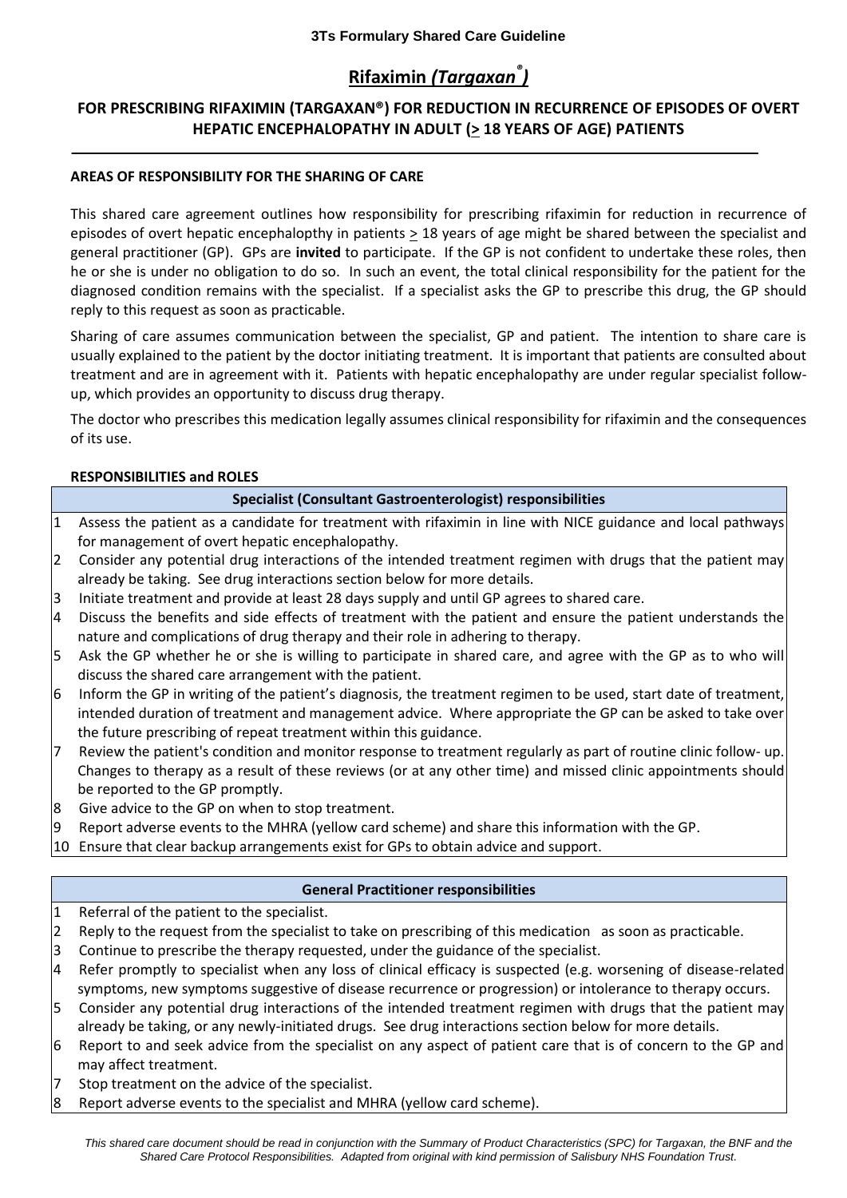# **Rifaximin** *(Targaxan® )*

# **FOR PRESCRIBING RIFAXIMIN (TARGAXAN®) FOR REDUCTION IN RECURRENCE OF EPISODES OF OVERT**  HEPATIC ENCEPHALOPATHY IN ADULT ( $\geq$  18 YEARS OF AGE) PATIENTS

## **AREAS OF RESPONSIBILITY FOR THE SHARING OF CARE**

This shared care agreement outlines how responsibility for prescribing rifaximin for reduction in recurrence of episodes of overt hepatic encephalopthy in patients  $\geq$  18 years of age might be shared between the specialist and general practitioner (GP). GPs are **invited** to participate. If the GP is not confident to undertake these roles, then he or she is under no obligation to do so. In such an event, the total clinical responsibility for the patient for the diagnosed condition remains with the specialist. If a specialist asks the GP to prescribe this drug, the GP should reply to this request as soon as practicable.

Sharing of care assumes communication between the specialist, GP and patient. The intention to share care is usually explained to the patient by the doctor initiating treatment. It is important that patients are consulted about treatment and are in agreement with it. Patients with hepatic encephalopathy are under regular specialist followup, which provides an opportunity to discuss drug therapy.

The doctor who prescribes this medication legally assumes clinical responsibility for rifaximin and the consequences of its use.

#### **RESPONSIBILITIES and ROLES**

|  |  | Specialist (Consultant Gastroenterologist) responsibilities |  |
|--|--|-------------------------------------------------------------|--|
|--|--|-------------------------------------------------------------|--|

- 1 Assess the patient as a candidate for treatment with rifaximin in line with NICE guidance and local pathways for management of overt hepatic encephalopathy.
- 2 Consider any potential drug interactions of the intended treatment regimen with drugs that the patient may already be taking. See drug interactions section below for more details.
- 3 Initiate treatment and provide at least 28 days supply and until GP agrees to shared care.
- 4 Discuss the benefits and side effects of treatment with the patient and ensure the patient understands the nature and complications of drug therapy and their role in adhering to therapy.
- 5 Ask the GP whether he or she is willing to participate in shared care, and agree with the GP as to who will discuss the shared care arrangement with the patient.
- 6 Inform the GP in writing of the patient's diagnosis, the treatment regimen to be used, start date of treatment, intended duration of treatment and management advice. Where appropriate the GP can be asked to take over the future prescribing of repeat treatment within this guidance.
- 7 Review the patient's condition and monitor response to treatment regularly as part of routine clinic follow- up. Changes to therapy as a result of these reviews (or at any other time) and missed clinic appointments should be reported to the GP promptly.
- 8 Give advice to the GP on when to stop treatment.
- 9 Report adverse events to the MHRA (yellow card scheme) and share this information with the GP.
- 10 Ensure that clear backup arrangements exist for GPs to obtain advice and support.

#### **General Practitioner responsibilities**

- 1 Referral of the patient to the specialist.
- 2 Reply to the request from the specialist to take on prescribing of this medication as soon as practicable.
- 3 Continue to prescribe the therapy requested, under the guidance of the specialist.
- 4 Refer promptly to specialist when any loss of clinical efficacy is suspected (e.g. worsening of disease-related symptoms, new symptoms suggestive of disease recurrence or progression) or intolerance to therapy occurs.
- 5 Consider any potential drug interactions of the intended treatment regimen with drugs that the patient may already be taking, or any newly-initiated drugs. See drug interactions section below for more details.
- 6 Report to and seek advice from the specialist on any aspect of patient care that is of concern to the GP and may affect treatment.
- 7 Stop treatment on the advice of the specialist.
- 8 Report adverse events to the specialist and MHRA (yellow card scheme).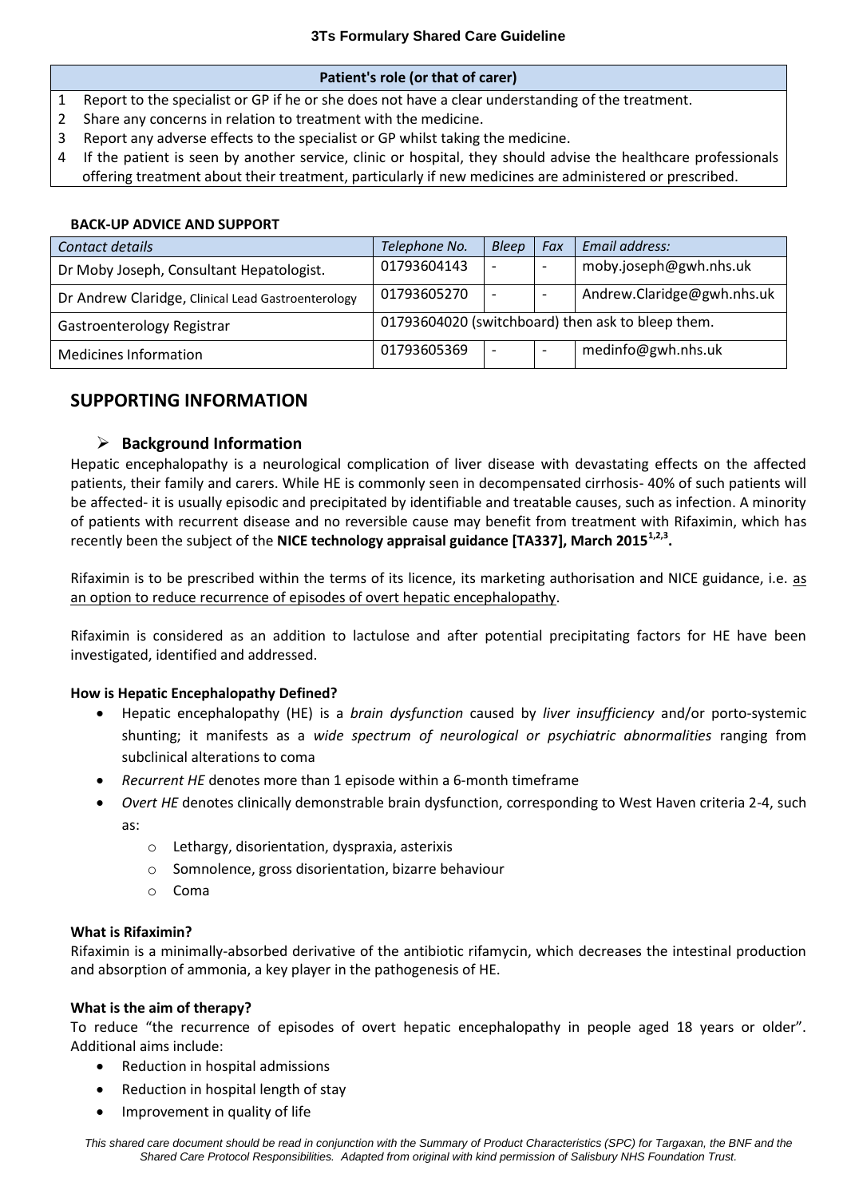### **Patient's role (or that of carer)**

- 1 Report to the specialist or GP if he or she does not have a clear understanding of the treatment.
- 2 Share any concerns in relation to treatment with the medicine.
- 3 Report any adverse effects to the specialist or GP whilst taking the medicine.
- 4 If the patient is seen by another service, clinic or hospital, they should advise the healthcare professionals offering treatment about their treatment, particularly if new medicines are administered or prescribed.

### **BACK-UP ADVICE AND SUPPORT**

| Contact details                                    | Telephone No.                                     | <b>Bleep</b>             | Fax | Email address:             |
|----------------------------------------------------|---------------------------------------------------|--------------------------|-----|----------------------------|
| Dr Moby Joseph, Consultant Hepatologist.           | 01793604143                                       | $\overline{\phantom{0}}$ |     | moby.joseph@gwh.nhs.uk     |
| Dr Andrew Claridge, Clinical Lead Gastroenterology | 01793605270                                       | $\overline{\phantom{a}}$ |     | Andrew.Claridge@gwh.nhs.uk |
| Gastroenterology Registrar                         | 01793604020 (switchboard) then ask to bleep them. |                          |     |                            |
| <b>Medicines Information</b>                       | 01793605369                                       | $\overline{\phantom{a}}$ |     | medinfo@gwh.nhs.uk         |

# **SUPPORTING INFORMATION**

# **Background Information**

Hepatic encephalopathy is a neurological complication of liver disease with devastating effects on the affected patients, their family and carers. While HE is commonly seen in decompensated cirrhosis- 40% of such patients will be affected- it is usually episodic and precipitated by identifiable and treatable causes, such as infection. A minority of patients with recurrent disease and no reversible cause may benefit from treatment with Rifaximin, which has recently been the subject of the **NICE technology appraisal guidance [TA337], March 20151,2,3 .**

Rifaximin is to be prescribed within the terms of its licence, its marketing authorisation and NICE guidance, i.e. as an option to reduce recurrence of episodes of overt hepatic encephalopathy.

Rifaximin is considered as an addition to lactulose and after potential precipitating factors for HE have been investigated, identified and addressed.

#### **How is Hepatic Encephalopathy Defined?**

- Hepatic encephalopathy (HE) is a *brain dysfunction* caused by *liver insufficiency* and/or porto-systemic shunting; it manifests as a *wide spectrum of neurological or psychiatric abnormalities* ranging from subclinical alterations to coma
- *Recurrent HE* denotes more than 1 episode within a 6-month timeframe
- *Overt HE* denotes clinically demonstrable brain dysfunction, corresponding to West Haven criteria 2-4, such as:
	- o Lethargy, disorientation, dyspraxia, asterixis
	- o Somnolence, gross disorientation, bizarre behaviour
	- o Coma

#### **What is Rifaximin?**

Rifaximin is a minimally-absorbed derivative of the antibiotic rifamycin, which decreases the intestinal production and absorption of ammonia, a key player in the pathogenesis of HE.

#### **What is the aim of therapy?**

To reduce "the recurrence of episodes of overt hepatic encephalopathy in people aged 18 years or older". Additional aims include:

- Reduction in hospital admissions
- Reduction in hospital length of stay
- Improvement in quality of life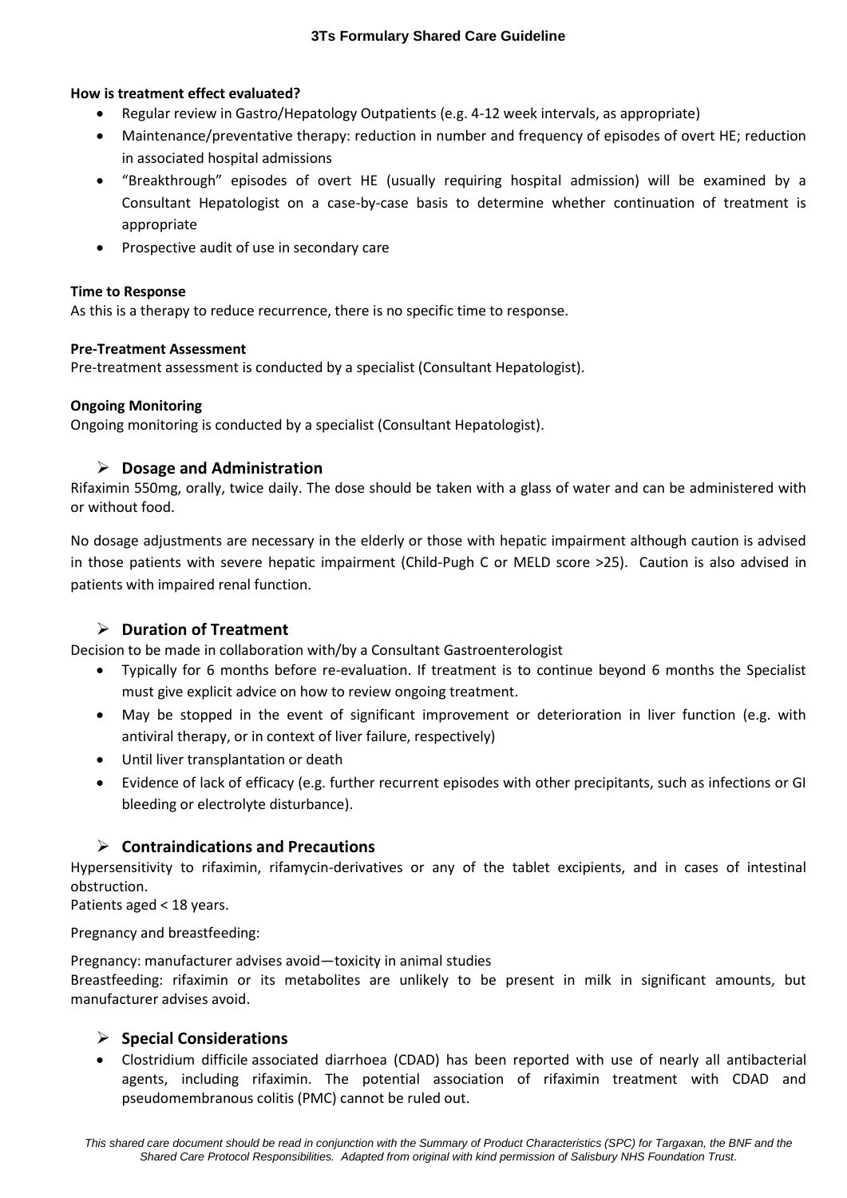## **How is treatment effect evaluated?**

- Regular review in Gastro/Hepatology Outpatients (e.g. 4-12 week intervals, as appropriate)
- Maintenance/preventative therapy: reduction in number and frequency of episodes of overt HE; reduction in associated hospital admissions
- "Breakthrough" episodes of overt HE (usually requiring hospital admission) will be examined by a Consultant Hepatologist on a case-by-case basis to determine whether continuation of treatment is appropriate
- Prospective audit of use in secondary care

## **Time to Response**

As this is a therapy to reduce recurrence, there is no specific time to response.

## **Pre-Treatment Assessment**

Pre-treatment assessment is conducted by a specialist (Consultant Hepatologist).

## **Ongoing Monitoring**

Ongoing monitoring is conducted by a specialist (Consultant Hepatologist).

# **Dosage and Administration**

Rifaximin 550mg, orally, twice daily. The dose should be taken with a glass of water and can be administered with or without food.

No dosage adjustments are necessary in the elderly or those with hepatic impairment although caution is advised in those patients with severe hepatic impairment (Child-Pugh C or MELD score >25). Caution is also advised in patients with impaired renal function.

# **Duration of Treatment**

Decision to be made in collaboration with/by a Consultant Gastroenterologist

- Typically for 6 months before re-evaluation. If treatment is to continue beyond 6 months the Specialist must give explicit advice on how to review ongoing treatment.
- May be stopped in the event of significant improvement or deterioration in liver function (e.g. with antiviral therapy, or in context of liver failure, respectively)
- Until liver transplantation or death
- Evidence of lack of efficacy (e.g. further recurrent episodes with other precipitants, such as infections or GI bleeding or electrolyte disturbance).

# **Contraindications and Precautions**

Hypersensitivity to rifaximin, rifamycin-derivatives or any of the tablet excipients, and in cases of intestinal obstruction.

Patients aged < 18 years.

Pregnancy and breastfeeding:

Pregnancy: manufacturer advises avoid—toxicity in animal studies

Breastfeeding: rifaximin or its metabolites are unlikely to be present in milk in significant amounts, but manufacturer advises avoid.

# **Special Considerations**

 Clostridium difficile associated diarrhoea (CDAD) has been reported with use of nearly all antibacterial agents, including rifaximin. The potential association of rifaximin treatment with CDAD and pseudomembranous colitis (PMC) cannot be ruled out.